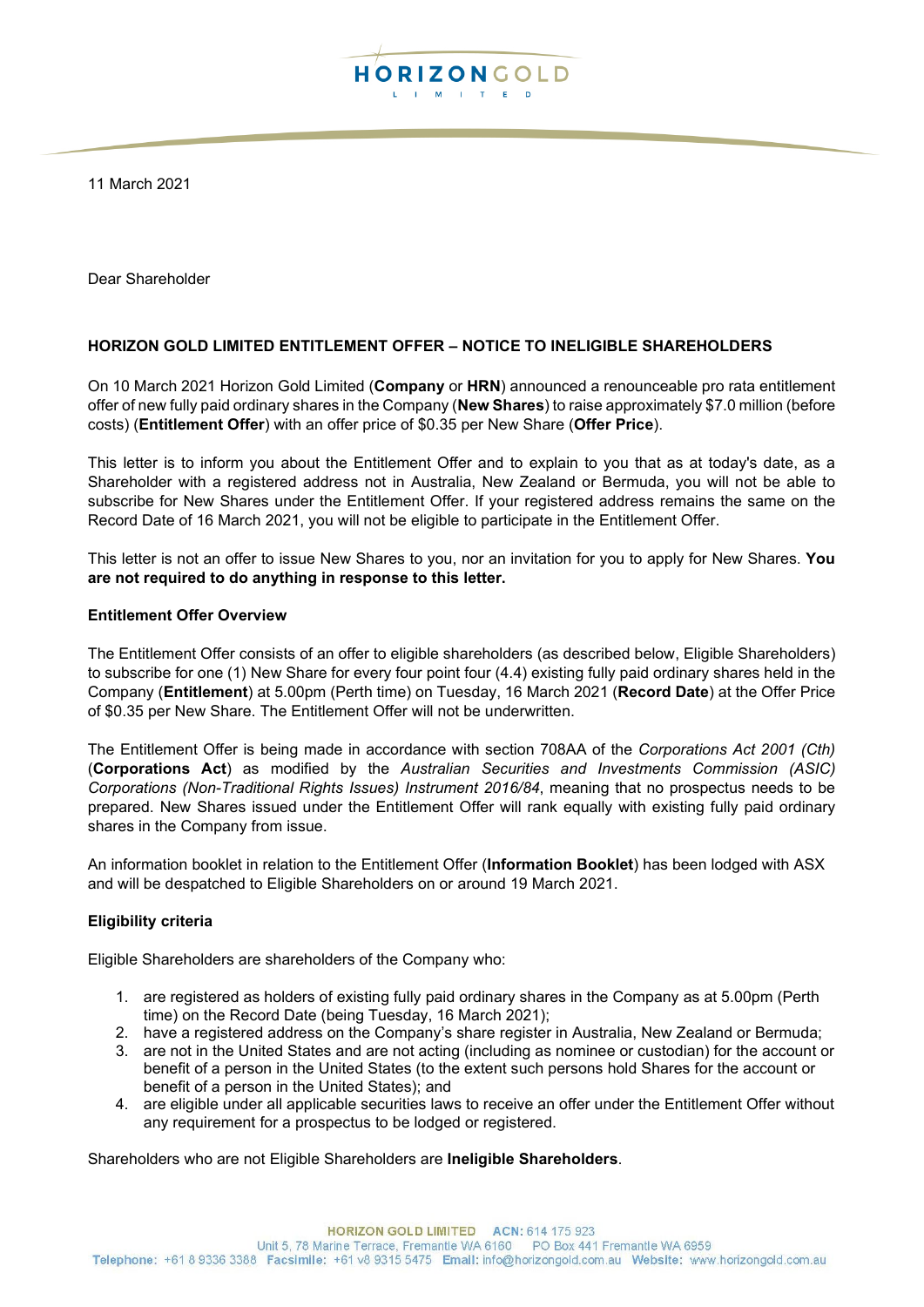

11 March 2021

Dear Shareholder

## **HORIZON GOLD LIMITED ENTITLEMENT OFFER – NOTICE TO INELIGIBLE SHAREHOLDERS**

On 10 March 2021 Horizon Gold Limited (**Company** or **HRN**) announced a renounceable pro rata entitlement offer of new fully paid ordinary shares in the Company (**New Shares**) to raise approximately \$7.0 million (before costs) (**Entitlement Offer**) with an offer price of \$0.35 per New Share (**Offer Price**).

This letter is to inform you about the Entitlement Offer and to explain to you that as at today's date, as a Shareholder with a registered address not in Australia, New Zealand or Bermuda, you will not be able to subscribe for New Shares under the Entitlement Offer. If your registered address remains the same on the Record Date of 16 March 2021, you will not be eligible to participate in the Entitlement Offer.

This letter is not an offer to issue New Shares to you, nor an invitation for you to apply for New Shares. **You are not required to do anything in response to this letter.**

## **Entitlement Offer Overview**

The Entitlement Offer consists of an offer to eligible shareholders (as described below, Eligible Shareholders) to subscribe for one (1) New Share for every four point four (4.4) existing fully paid ordinary shares held in the Company (**Entitlement**) at 5.00pm (Perth time) on Tuesday, 16 March 2021 (**Record Date**) at the Offer Price of \$0.35 per New Share. The Entitlement Offer will not be underwritten.

The Entitlement Offer is being made in accordance with section 708AA of the *Corporations Act 2001 (Cth)* (**Corporations Act**) as modified by the *Australian Securities and Investments Commission (ASIC) Corporations (Non-Traditional Rights Issues) Instrument 2016/84*, meaning that no prospectus needs to be prepared. New Shares issued under the Entitlement Offer will rank equally with existing fully paid ordinary shares in the Company from issue.

An information booklet in relation to the Entitlement Offer (**Information Booklet**) has been lodged with ASX and will be despatched to Eligible Shareholders on or around 19 March 2021.

## **Eligibility criteria**

Eligible Shareholders are shareholders of the Company who:

- 1. are registered as holders of existing fully paid ordinary shares in the Company as at 5.00pm (Perth time) on the Record Date (being Tuesday, 16 March 2021);
- 2. have a registered address on the Company's share register in Australia, New Zealand or Bermuda;
- 3. are not in the United States and are not acting (including as nominee or custodian) for the account or benefit of a person in the United States (to the extent such persons hold Shares for the account or benefit of a person in the United States); and
- 4. are eligible under all applicable securities laws to receive an offer under the Entitlement Offer without any requirement for a prospectus to be lodged or registered.

Shareholders who are not Eligible Shareholders are **Ineligible Shareholders**.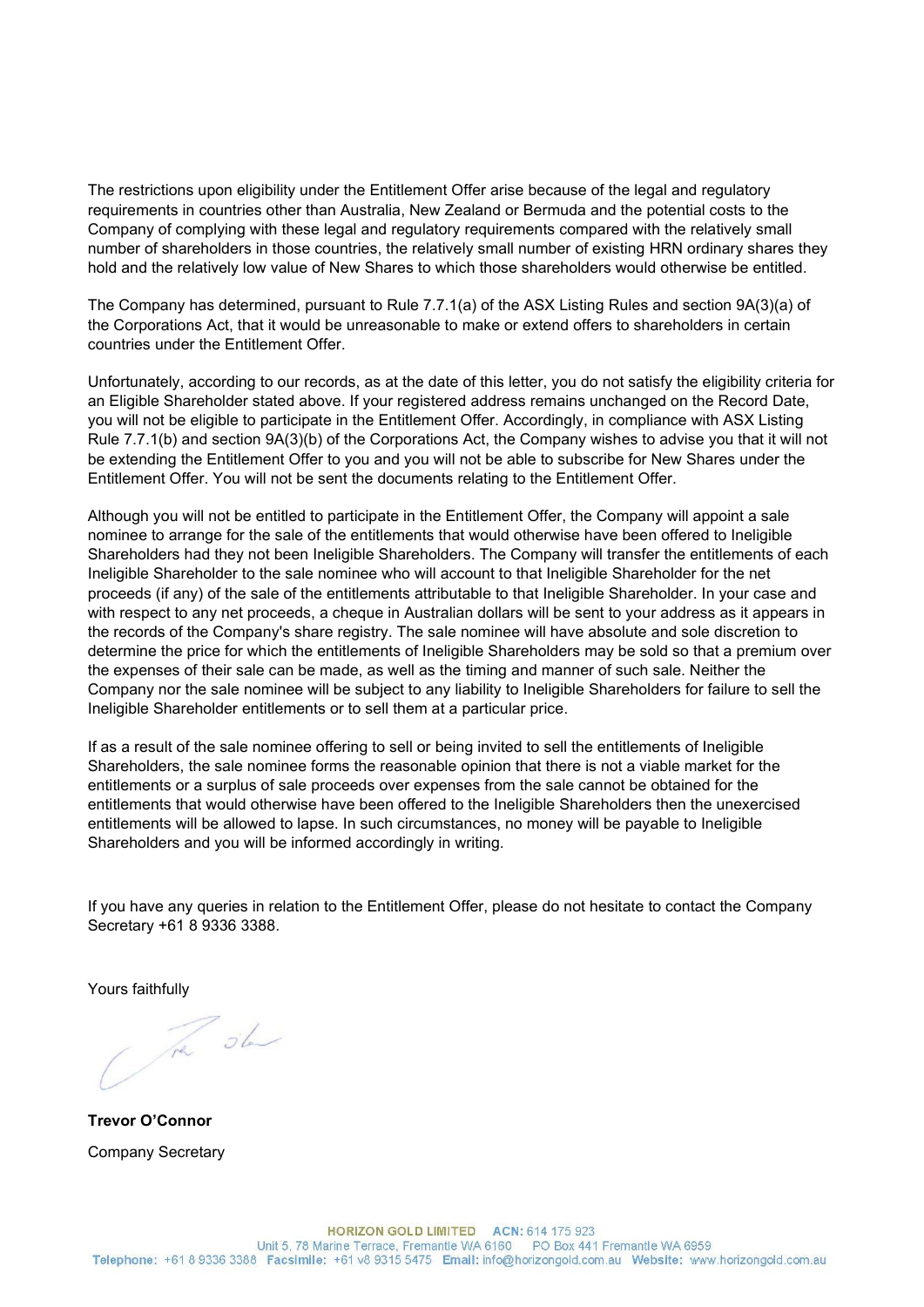The restrictions upon eligibility under the Entitlement Offer arise because of the legal and regulatory requirements in countries other than Australia, New Zealand or Bermuda and the potential costs to the Company of complying with these legal and regulatory requirements compared with the relatively small number of shareholders in those countries, the relatively small number of existing HRN ordinary shares they hold and the relatively low value of New Shares to which those shareholders would otherwise be entitled.

The Company has determined, pursuant to Rule 7.7.1(a) of the ASX Listing Rules and section 9A(3)(a) of the Corporations Act, that it would be unreasonable to make or extend offers to shareholders in certain countries under the Entitlement Offer.

Unfortunately, according to our records, as at the date of this letter, you do not satisfy the eligibility criteria for an Eligible Shareholder stated above. If your registered address remains unchanged on the Record Date, you will not be eligible to participate in the Entitlement Offer. Accordingly, in compliance with ASX Listing Rule 7.7.1(b) and section 9A(3)(b) of the Corporations Act, the Company wishes to advise you that it will not be extending the Entitlement Offer to you and you will not be able to subscribe for New Shares under the Entitlement Offer. You will not be sent the documents relating to the Entitlement Offer.

Although you will not be entitled to participate in the Entitlement Offer, the Company will appoint a sale nominee to arrange for the sale of the entitlements that would otherwise have been offered to Ineligible Shareholders had they not been Ineligible Shareholders. The Company will transfer the entitlements of each Ineligible Shareholder to the sale nominee who will account to that Ineligible Shareholder for the net proceeds (if any) of the sale of the entitlements attributable to that Ineligible Shareholder. In your case and with respect to any net proceeds, a cheque in Australian dollars will be sent to your address as it appears in the records of the Company's share registry. The sale nominee will have absolute and sole discretion to determine the price for which the entitlements of Ineligible Shareholders may be sold so that a premium over the expenses of their sale can be made, as well as the timing and manner of such sale. Neither the Company nor the sale nominee will be subject to any liability to Ineligible Shareholders for failure to sell the Ineligible Shareholder entitlements or to sell them at a particular price.

If as a result of the sale nominee offering to sell or being invited to sell the entitlements of Ineligible Shareholders, the sale nominee forms the reasonable opinion that there is not a viable market for the entitlements or a surplus of sale proceeds over expenses from the sale cannot be obtained for the entitlements that would otherwise have been offered to the Ineligible Shareholders then the unexercised entitlements will be allowed to lapse. In such circumstances, no money will be payable to Ineligible Shareholders and you will be informed accordingly in writing.

If you have any queries in relation to the Entitlement Offer, please do not hesitate to contact the Company Secretary +61 8 9336 3388.

Yours faithfully

The sh

**Trevor O'Connor** Company Secretary